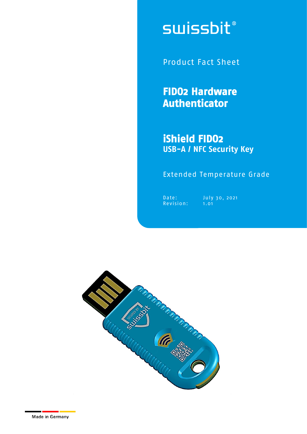# swissbit®

Product Fact Sheet

**FIDO2 Hardware Authenticator** 

# **iShield FIDO2 USB-A / NFC Security Key**

### Extended Temperature Grade

Revision:

Date: July 30, 2021<br>Revision: 1.01